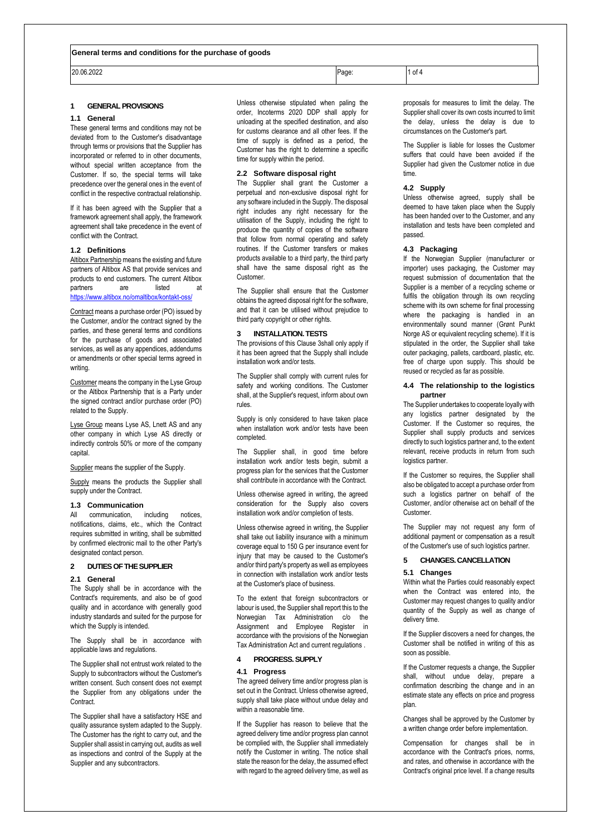20.06.2022 Page: 1 of 4

### **1 GENERAL PROVISIONS**

#### **1.1 General**

These general terms and conditions may not be deviated from to the Customer's disadvantage through terms or provisions that the Supplier has incorporated or referred to in other documents, without special written acceptance from the Customer. If so, the special terms will take precedence over the general ones in the event of conflict in the respective contractual relationship.

If it has been agreed with the Supplier that a framework agreement shall apply, the framework agreement shall take precedence in the event of conflict with the Contract.

## **1.2 Definitions**

Altibox Partnership means the existing and future partners of Altibox AS that provide services and products to end customers. The current Altibox partners are listed at <https://www.altibox.no/omaltibox/kontakt-oss/>

Contract means a purchase order (PO) issued by the Customer, and/or the contract signed by the parties, and these general terms and conditions for the purchase of goods and associated services, as well as any appendices, addendums or amendments or other special terms agreed in writing.

Customer means the company in the Lyse Group or the Altibox Partnership that is a Party under the signed contract and/or purchase order (PO) related to the Supply.

Lyse Group means Lyse AS, Lnett AS and any other company in which Lyse AS directly or indirectly controls 50% or more of the company capital.

Supplier means the supplier of the Supply.

Supply means the products the Supplier shall supply under the Contract.

#### <span id="page-0-1"></span>**1.3 Communication**

All communication, including notices, notifications, claims, etc., which the Contract requires submitted in writing, shall be submitted by confirmed electronic mail to the other Party's designated contact person.

## **2 DUTIES OF THE SUPPLIER**

# **2.1 General**

The Supply shall be in accordance with the Contract's requirements, and also be of good quality and in accordance with generally good industry standards and suited for the purpose for which the Supply is intended.

The Supply shall be in accordance with applicable laws and regulations.

The Supplier shall not entrust work related to the Supply to subcontractors without the Customer's written consent. Such consent does not exempt the Supplier from any obligations under the Contract.

The Supplier shall have a satisfactory HSE and quality assurance system adapted to the Supply. The Customer has the right to carry out, and the Supplier shall assist in carrying out, audits as well as inspections and control of the Supply at the Supplier and any subcontractors.

Unless otherwise stipulated when paling the order, Incoterms 2020 DDP shall apply for unloading at the specified destination, and also for customs clearance and all other fees. If the time of supply is defined as a period, the Customer has the right to determine a specific time for supply within the period.

#### **2.2 Software disposal right**

The Supplier shall grant the Customer a perpetual and non-exclusive disposal right for any software included in the Supply. The disposal right includes any right necessary for the utilisation of the Supply, including the right to produce the quantity of copies of the software that follow from normal operating and safety routines. If the Customer transfers or makes products available to a third party, the third party shall have the same disposal right as the Customer.

The Supplier shall ensure that the Customer obtains the agreed disposal right for the software, and that it can be utilised without prejudice to third party copyright or other rights.

#### <span id="page-0-0"></span>**3 INSTALLATION. TESTS**

The provisions of this Clause [3s](#page-0-0)hall only apply if it has been agreed that the Supply shall include installation work and/or tests.

The Supplier shall comply with current rules for safety and working conditions. The Customer shall, at the Supplier's request, inform about own rules.

Supply is only considered to have taken place when installation work and/or tests have been completed.

The Supplier shall, in good time before installation work and/or tests begin, submit a progress plan for the services that the Customer shall contribute in accordance with the Contract.

Unless otherwise agreed in writing, the agreed consideration for the Supply also covers installation work and/or completion of tests.

Unless otherwise agreed in writing, the Supplier shall take out liability insurance with a minimum coverage equal to 150 G per insurance event for injury that may be caused to the Customer's and/or third party's property as well as employees in connection with installation work and/or tests at the Customer's place of business.

To the extent that foreign subcontractors or labour is used, the Supplier shall report this to the Norwegian Tax Administration c/o the Assignment and Employee Register in accordance with the provisions of the Norwegian Tax Administration Act and current regulations .

# **4 PROGRESS. SUPPLY**

# **4.1 Progress**

The agreed delivery time and/or progress plan is set out in the Contract. Unless otherwise agreed, supply shall take place without undue delay and within a reasonable time.

If the Supplier has reason to believe that the agreed delivery time and/or progress plan cannot be complied with, the Supplier shall immediately notify the Customer in writing. The notice shall state the reason for the delay, the assumed effect with regard to the agreed delivery time, as well as

proposals for measures to limit the delay. The Supplier shall cover its own costs incurred to limit the delay, unless the delay is due to circumstances on the Customer's part.

The Supplier is liable for losses the Customer suffers that could have been avoided if the Supplier had given the Customer notice in due time.

## **4.2 Supply**

Unless otherwise agreed, supply shall be deemed to have taken place when the Supply has been handed over to the Customer, and any installation and tests have been completed and passed.

#### **4.3 Packaging**

If the Norwegian Supplier (manufacturer or importer) uses packaging, the Customer may request submission of documentation that the Supplier is a member of a recycling scheme or fulfils the obligation through its own recycling scheme with its own scheme for final processing where the packaging is handled in an environmentally sound manner (Grønt Punkt Norge AS or equivalent recycling scheme). If it is stipulated in the order, the Supplier shall take outer packaging, pallets, cardboard, plastic, etc. free of charge upon supply. This should be reused or recycled as far as possible.

## **4.4 The relationship to the logistics partner**

The Supplier undertakes to cooperate loyally with any logistics partner designated by the Customer. If the Customer so requires, the Supplier shall supply products and services directly to such logistics partner and, to the extent relevant, receive products in return from such logistics partner.

If the Customer so requires, the Supplier shall also be obligated to accept a purchase order from such a logistics partner on behalf of the Customer, and/or otherwise act on behalf of the **Customer** 

The Supplier may not request any form of additional payment or compensation as a result of the Customer's use of such logistics partner.

# **5 CHANGES. CANCELLATION**

#### **5.1 Changes**

Within what the Parties could reasonably expect when the Contract was entered into, the Customer may request changes to quality and/or quantity of the Supply as well as change of delivery time.

If the Supplier discovers a need for changes, the Customer shall be notified in writing of this as soon as possible.

If the Customer requests a change, the Supplier shall, without undue delay, prepare a confirmation describing the change and in an estimate state any effects on price and progress plan.

Changes shall be approved by the Customer by a written change order before implementation.

Compensation for changes shall be in accordance with the Contract's prices, norms, and rates, and otherwise in accordance with the Contract's original price level. If a change results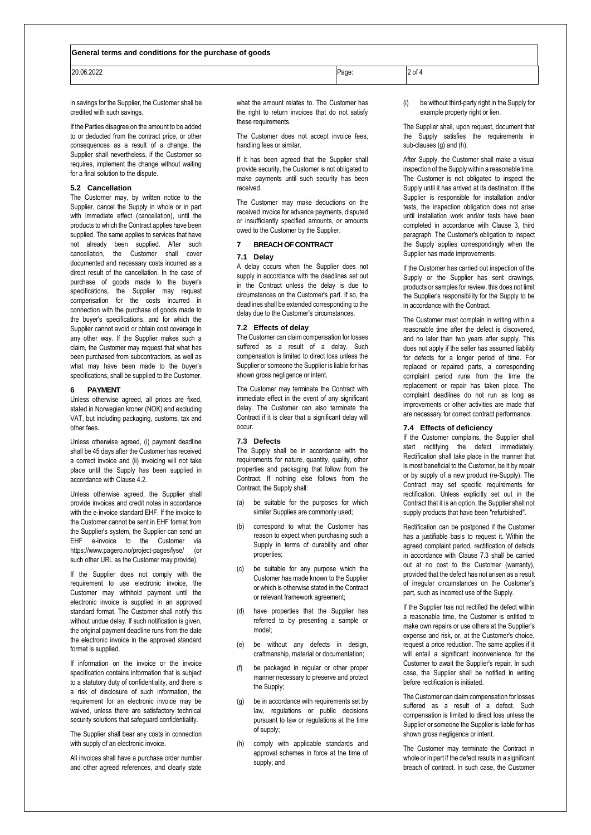#### **General terms and conditions for the purchase of goods**

| 20.06.2022    | Page: | of 4 |  |
|---------------|-------|------|--|
| $\sim$ $\sim$ |       |      |  |

in savings for the Supplier, the Customer shall be credited with such savings.

If the Parties disagree on the amount to be added to or deducted from the contract price, or other consequences as a result of a change, the Supplier shall nevertheless, if the Customer so requires, implement the change without waiting for a final solution to the dispute.

## **5.2 Cancellation**

The Customer may, by written notice to the Supplier, cancel the Supply in whole or in part with immediate effect (cancellation), until the products to which the Contract applies have been supplied. The same applies to services that have not already been supplied. After such cancellation, the Customer shall cover documented and necessary costs incurred as a direct result of the cancellation. In the case of purchase of goods made to the buyer's specifications, the Supplier may request compensation for the costs incurred in connection with the purchase of goods made to the buyer's specifications, and for which the Supplier cannot avoid or obtain cost coverage in any other way. If the Supplier makes such a claim, the Customer may request that what has been purchased from subcontractors, as well as what may have been made to the buyer's specifications, shall be supplied to the Customer.

#### **6 PAYMENT**

Unless otherwise agreed, all prices are fixed, stated in Norwegian kroner (NOK) and excluding VAT, but including packaging, customs, tax and other fees.

Unless otherwise agreed, (i) payment deadline shall be 45 days after the Customer has received a correct invoice and (ii) invoicing will not take place until the Supply has been supplied in accordance with Clause 4.2.

Unless otherwise agreed, the Supplier shall provide invoices and credit notes in accordance with the e-invoice standard EHF. If the invoice to the Customer cannot be sent in EHF format from the Supplier's system, the Supplier can send an EHF e-invoice to the Customer via https://www.pagero.no/project-pages/lyse/ (or such other URL as the Customer may provide).

If the Supplier does not comply with the requirement to use electronic invoice, the Customer may withhold payment until the electronic invoice is supplied in an approved standard format. The Customer shall notify this without undue delay. If such notification is given, the original payment deadline runs from the date the electronic invoice in the approved standard format is supplied.

If information on the invoice or the invoice specification contains information that is subject to a statutory duty of confidentiality, and there is a risk of disclosure of such information, the requirement for an electronic invoice may be waived, unless there are satisfactory technical security solutions that safeguard confidentiality.

The Supplier shall bear any costs in connection with supply of an electronic invoice.

All invoices shall have a purchase order number and other agreed references, and clearly state what the amount relates to. The Customer has the right to return invoices that do not satisfy these requirements.

The Customer does not accept invoice fees, handling fees or similar.

If it has been agreed that the Supplier shall provide security, the Customer is not obligated to make payments until such security has been received.

The Customer may make deductions on the received invoice for advance payments, disputed or insufficiently specified amounts, or amounts owed to the Customer by the Supplier.

# **7 BREACH OF CONTRACT**

# **7.1 Delay**

A delay occurs when the Supplier does not supply in accordance with the deadlines set out in the Contract unless the delay is due to circumstances on the Customer's part. If so, the deadlines shall be extended corresponding to the delay due to the Customer's circumstances.

#### **7.2 Effects of delay**

The Customer can claim compensation for losses suffered as a result of a delay. Such compensation is limited to direct loss unless the Supplier or someone the Supplier is liable for has shown gross negligence or intent.

The Customer may terminate the Contract with immediate effect in the event of any significant delay. The Customer can also terminate the Contract if it is clear that a significant delay will occur.

## **7.3 Defects**

The Supply shall be in accordance with the requirements for nature, quantity, quality, other properties and packaging that follow from the Contract. If nothing else follows from the Contract, the Supply shall:

- (a) be suitable for the purposes for which similar Supplies are commonly used;
- (b) correspond to what the Customer has reason to expect when purchasing such a Supply in terms of durability and other properties;
- (c) be suitable for any purpose which the Customer has made known to the Supplier or which is otherwise stated in the Contract or relevant framework agreement;
- (d) have properties that the Supplier has referred to by presenting a sample or model;
- (e) be without any defects in design, craftmanship, material or documentation;
- (f) be packaged in regular or other proper manner necessary to preserve and protect the Supply;
- (g) be in accordance with requirements set by law, regulations or public decisions pursuant to law or regulations at the time of supply;
- (h) comply with applicable standards and approval schemes in force at the time of supply; and

(i) be without third-party right in the Supply for example property right or lien.

The Supplier shall, upon request, document that the Supply satisfies the requirements in sub-clauses (g) and (h).

After Supply, the Customer shall make a visual inspection of the Supply within a reasonable time. The Customer is not obligated to inspect the Supply until it has arrived at its destination. If the Supplier is responsible for installation and/or tests, the inspection obligation does not arise until installation work and/or tests have been completed in accordance with Clause 3, third paragraph. The Customer's obligation to inspect the Supply applies correspondingly when the Supplier has made improvements.

If the Customer has carried out inspection of the Supply or the Supplier has sent drawings, products or samples for review, this does not limit the Supplier's responsibility for the Supply to be in accordance with the Contract.

The Customer must complain in writing within a reasonable time after the defect is discovered, and no later than two years after supply. This does not apply if the seller has assumed liability for defects for a longer period of time. For replaced or repaired parts, a corresponding complaint period runs from the time the replacement or repair has taken place. The complaint deadlines do not run as long as improvements or other activities are made that are necessary for correct contract performance.

### **7.4 Effects of deficiency**

If the Customer complains, the Supplier shall start rectifying the defect immediately. Rectification shall take place in the manner that is most beneficial to the Customer, be it by repair or by supply of a new product (re-Supply). The Contract may set specific requirements for rectification. Unless explicitly set out in the Contract that it is an option, the Supplier shall not supply products that have been "refurbished".

Rectification can be postponed if the Customer has a justifiable basis to request it. Within the agreed complaint period, rectification of defects in accordance with Clause 7.3 shall be carried out at no cost to the Customer (warranty), provided that the defect has not arisen as a result of irregular circumstances on the Customer's part, such as incorrect use of the Supply.

If the Supplier has not rectified the defect within a reasonable time, the Customer is entitled to make own repairs or use others at the Supplier's expense and risk, or, at the Customer's choice, request a price reduction. The same applies if it will entail a significant inconvenience for the Customer to await the Supplier's repair. In such case, the Supplier shall be notified in writing before rectification is initiated.

The Customer can claim compensation for losses suffered as a result of a defect. Such compensation is limited to direct loss unless the Supplier or someone the Supplier is liable for has shown gross negligence or intent.

The Customer may terminate the Contract in whole or in part if the defect results in a significant breach of contract. In such case, the Customer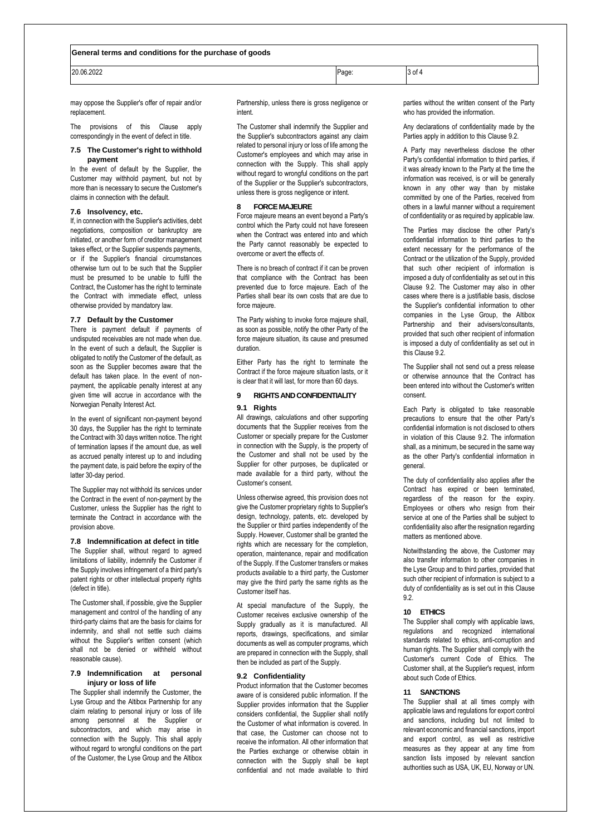20.06.2022 Page: 3 of 4

may oppose the Supplier's offer of repair and/or replacement.

The provisions of this Clause apply correspondingly in the event of defect in title.

### **7.5 The Customer's right to withhold payment**

In the event of default by the Supplier, the Customer may withhold payment, but not by more than is necessary to secure the Customer's claims in connection with the default.

### **7.6 Insolvency, etc.**

If, in connection with the Supplier's activities, debt negotiations, composition or bankruptcy are initiated, or another form of creditor management takes effect, or the Supplier suspends payments, or if the Supplier's financial circumstances otherwise turn out to be such that the Supplier must be presumed to be unable to fulfil the Contract, the Customer has the right to terminate the Contract with immediate effect, unless otherwise provided by mandatory law.

### **7.7 Default by the Customer**

There is payment default if payments of undisputed receivables are not made when due. In the event of such a default, the Supplier is obligated to notify the Customer of the default, as soon as the Supplier becomes aware that the default has taken place. In the event of nonpayment, the applicable penalty interest at any given time will accrue in accordance with the Norwegian Penalty Interest Act.

In the event of significant non-payment beyond 30 days, the Supplier has the right to terminate the Contract with 30 days written notice. The right of termination lapses if the amount due, as well as accrued penalty interest up to and including the payment date, is paid before the expiry of the latter 30-day period.

The Supplier may not withhold its services under the Contract in the event of non-payment by the Customer, unless the Supplier has the right to terminate the Contract in accordance with the provision above.

**7.8 Indemnification at defect in title** The Supplier shall, without regard to agreed limitations of liability, indemnify the Customer if the Supply involves infringement of a third party's patent rights or other intellectual property rights (defect in title).

The Customer shall, if possible, give the Supplier management and control of the handling of any third-party claims that are the basis for claims for indemnity, and shall not settle such claims without the Supplier's written consent (which shall not be denied or withheld without reasonable cause).

## **7.9 Indemnification at personal injury or loss of life**

The Supplier shall indemnify the Customer, the Lyse Group and the Altibox Partnership for any claim relating to personal injury or loss of life among personnel at the Supplier or subcontractors, and which may arise in connection with the Supply. This shall apply without regard to wrongful conditions on the part of the Customer, the Lyse Group and the Altibox Partnership, unless there is gross negligence or intent.

The Customer shall indemnify the Supplier and the Supplier's subcontractors against any claim related to personal injury or loss of life among the Customer's employees and which may arise in connection with the Supply. This shall apply without regard to wrongful conditions on the part of the Supplier or the Supplier's subcontractors, unless there is gross negligence or intent.

## **8 FORCE MAJEURE**

Force majeure means an event beyond a Party's control which the Party could not have foreseen when the Contract was entered into and which the Party cannot reasonably be expected to overcome or avert the effects of.

There is no breach of contract if it can be proven that compliance with the Contract has been prevented due to force majeure. Each of the Parties shall bear its own costs that are due to force majeure.

The Party wishing to invoke force majeure shall, as soon as possible, notify the other Party of the force majeure situation, its cause and presumed duration.

Either Party has the right to terminate the Contract if the force majeure situation lasts, or it is clear that it will last, for more than 60 days.

# **9 RIGHTS ANDCONFIDENTIALITY 9.1 Rights**

All drawings, calculations and other supporting documents that the Supplier receives from the Customer or specially prepare for the Customer in connection with the Supply, is the property of the Customer and shall not be used by the Supplier for other purposes, be duplicated or made available for a third party, without the Customer's consent.

Unless otherwise agreed, this provision does not give the Customer proprietary rights to Supplier's design, technology, patents, etc. developed by the Supplier or third parties independently of the Supply. However, Customer shall be granted the rights which are necessary for the completion, operation, maintenance, repair and modification of the Supply. If the Customer transfers or makes products available to a third party, the Customer may give the third party the same rights as the Customer itself has.

At special manufacture of the Supply, the Customer receives exclusive ownership of the Supply gradually as it is manufactured. All reports, drawings, specifications, and similar documents as well as computer programs, which are prepared in connection with the Supply, shall then be included as part of the Supply.

## <span id="page-2-0"></span>**9.2 Confidentiality**

Product information that the Customer becomes aware of is considered public information. If the Supplier provides information that the Supplier considers confidential, the Supplier shall notify the Customer of what information is covered. In that case, the Customer can choose not to receive the information. All other information that the Parties exchange or otherwise obtain in connection with the Supply shall be kept confidential and not made available to third

parties without the written consent of the Party who has provided the information.

Any declarations of confidentiality made by the Parties apply in addition to this Clause [9.2.](#page-2-0)

A Party may nevertheless disclose the other Party's confidential information to third parties, if it was already known to the Party at the time the information was received, is or will be generally known in any other way than by mistake committed by one of the Parties, received from others in a lawful manner without a requirement of confidentiality or as required by applicable law.

The Parties may disclose the other Party's confidential information to third parties to the extent necessary for the performance of the Contract or the utilization of the Supply, provided that such other recipient of information is imposed a duty of confidentiality as set out in this Clause [9.2.](#page-2-0) The Customer may also in other cases where there is a justifiable basis, disclose the Supplier's confidential information to other companies in the Lyse Group, the Altibox Partnership and their advisers/consultants, provided that such other recipient of information is imposed a duty of confidentiality as set out in this Clause 9.2.

The Supplier shall not send out a press release or otherwise announce that the Contract has been entered into without the Customer's written consent.

Each Party is obligated to take reasonable precautions to ensure that the other Party's confidential information is not disclosed to others in violation of this Clause [9.2.](#page-2-0) The information shall, as a minimum, be secured in the same way as the other Party's confidential information in general.

The duty of confidentiality also applies after the Contract has expired or been terminated, regardless of the reason for the expiry. Employees or others who resign from their service at one of the Parties shall be subject to confidentiality also after the resignation regarding matters as mentioned above.

Notwithstanding the above, the Customer may also transfer information to other companies in the Lyse Group and to third parties, provided that such other recipient of information is subject to a duty of confidentiality as is set out in this Clause  $0.2$ 

#### **10 ETHICS**

The Supplier shall comply with applicable laws, regulations and recognized international standards related to ethics, anti-corruption and human rights. The Supplier shall comply with the Customer's current Code of Ethics. The Customer shall, at the Supplier's request, inform about such Code of Ethics.

#### **11 SANCTIONS**

The Supplier shall at all times comply with applicable laws and regulations for export control and sanctions, including but not limited to relevant economic and financial sanctions, import and export control, as well as restrictive measures as they appear at any time from sanction lists imposed by relevant sanction authorities such as USA, UK, EU, Norway or UN.